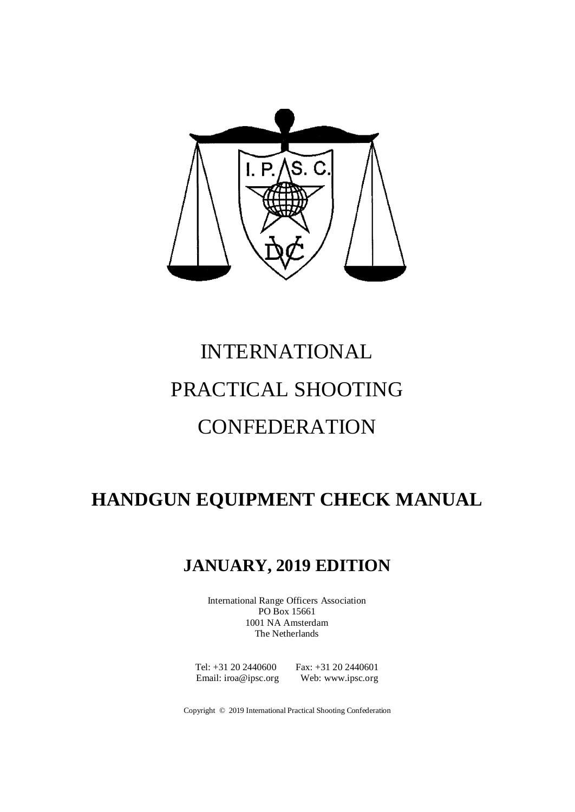

# INTERNATIONAL PRACTICAL SHOOTING **CONFEDERATION**

# **HANDGUN EQUIPMENT CHECK MANUAL**

# **JANUARY, 2019 EDITION**

International Range Officers Association PO Box 15661 1001 NA Amsterdam The Netherlands

Tel: +31 20 2440600 Fax: +31 20 2440601 Email: [iroa@ipsc.org](mailto:iroa@ipsc.org) Web: [www.ipsc.org](http://www.ipsc.org/)

Copyright © 2019 International Practical Shooting Confederation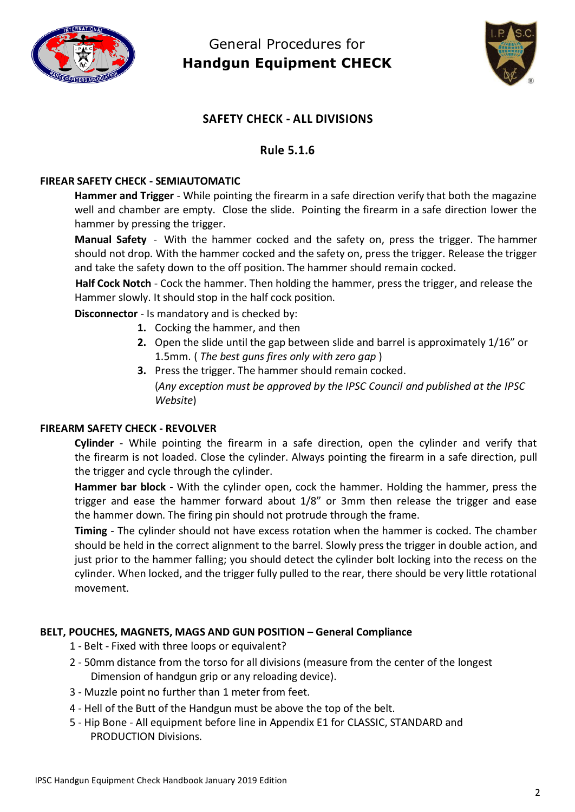



#### **SAFETY CHECK - ALL DIVISIONS**

#### **Rule 5.1.6**

#### **FIREAR SAFETY CHECK - SEMIAUTOMATIC**

**Hammer and Trigger** - While pointing the firearm in a safe direction verify that both the magazine well and chamber are empty. Close the slide. Pointing the firearm in a safe direction lower the hammer by pressing the trigger.

**Manual Safety** - With the hammer cocked and the safety on, press the trigger. The hammer should not drop. With the hammer cocked and the safety on, press the trigger. Release the trigger and take the safety down to the off position. The hammer should remain cocked.

 **Half Cock Notch** - Cock the hammer. Then holding the hammer, press the trigger, and release the Hammer slowly. It should stop in the half cock position.

**Disconnector** - Is mandatory and is checked by:

- **1.** Cocking the hammer, and then
- **2.** Open the slide until the gap between slide and barrel is approximately 1/16" or 1.5mm. ( *The best guns fires only with zero gap* )
- **3.** Press the trigger. The hammer should remain cocked. (*Any exception must be approved by the IPSC Council and published at the IPSC Website*)

#### **FIREARM SAFETY CHECK - REVOLVER**

**Cylinder** - While pointing the firearm in a safe direction, open the cylinder and verify that the firearm is not loaded. Close the cylinder. Always pointing the firearm in a safe direction, pull the trigger and cycle through the cylinder.

**Hammer bar block** - With the cylinder open, cock the hammer. Holding the hammer, press the trigger and ease the hammer forward about 1/8" or 3mm then release the trigger and ease the hammer down. The firing pin should not protrude through the frame.

**Timing** - The cylinder should not have excess rotation when the hammer is cocked. The chamber should be held in the correct alignment to the barrel. Slowly press the trigger in double action, and just prior to the hammer falling; you should detect the cylinder bolt locking into the recess on the cylinder. When locked, and the trigger fully pulled to the rear, there should be very little rotational movement.

#### **BELT, POUCHES, MAGNETS, MAGS AND GUN POSITION – General Compliance**

- 1 Belt Fixed with three loops or equivalent?
- 2 50mm distance from the torso for all divisions (measure from the center of the longest Dimension of handgun grip or any reloading device).
- 3 Muzzle point no further than 1 meter from feet.
- 4 Hell of the Butt of the Handgun must be above the top of the belt.
- 5 Hip Bone All equipment before line in Appendix E1 for CLASSIC, STANDARD and PRODUCTION Divisions.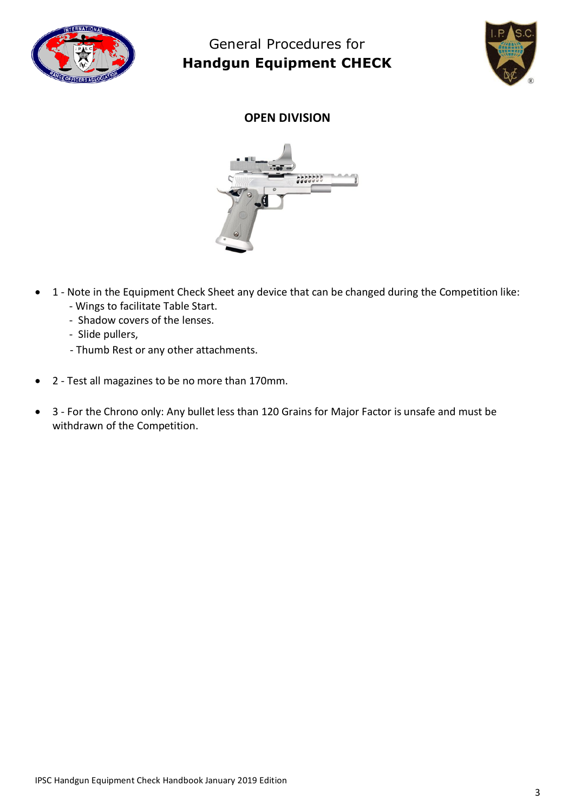



#### **OPEN DIVISION**



- 1 Note in the Equipment Check Sheet any device that can be changed during the Competition like: - Wings to facilitate Table Start.
	- Shadow covers of the lenses.
	- Slide pullers,
	- Thumb Rest or any other attachments.
- 2 Test all magazines to be no more than 170mm.
- 3 For the Chrono only: Any bullet less than 120 Grains for Major Factor is unsafe and must be withdrawn of the Competition.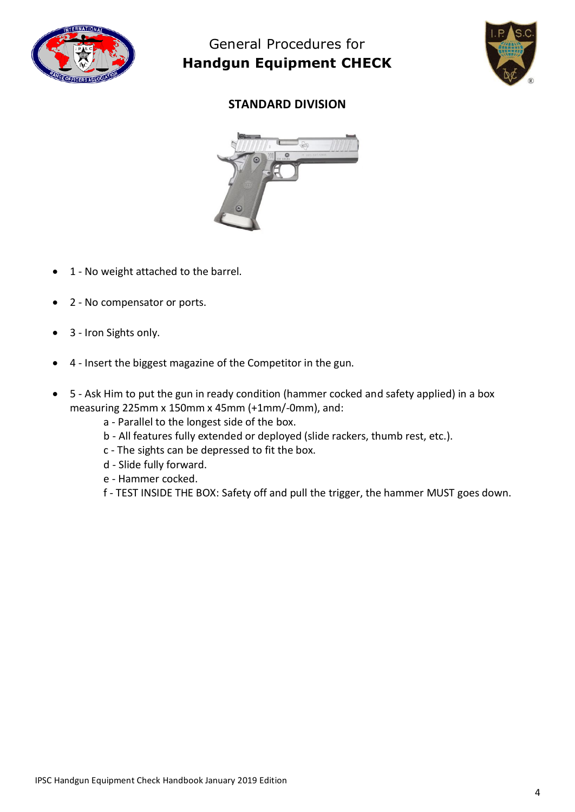



### **STANDARD DIVISION**



- 1 No weight attached to the barrel.
- 2 No compensator or ports.
- 3 Iron Sights only.
- 4 Insert the biggest magazine of the Competitor in the gun.
- 5 Ask Him to put the gun in ready condition (hammer cocked and safety applied) in a box measuring 225mm x 150mm x 45mm (+1mm/-0mm), and:
	- a Parallel to the longest side of the box.
	- b All features fully extended or deployed (slide rackers, thumb rest, etc.).
	- c The sights can be depressed to fit the box.
	- d Slide fully forward.
	- e Hammer cocked.
	- f TEST INSIDE THE BOX: Safety off and pull the trigger, the hammer MUST goes down.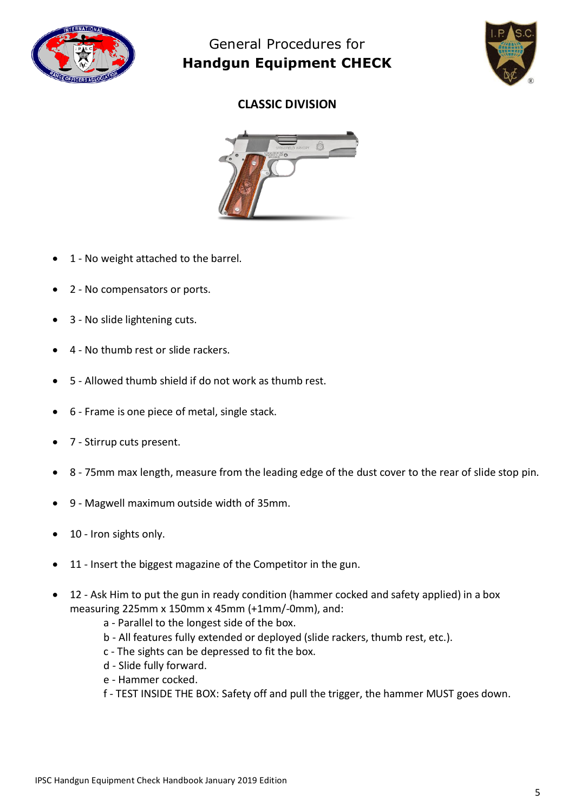



## **CLASSIC DIVISION**



- 1 No weight attached to the barrel.
- 2 No compensators or ports.
- 3 No slide lightening cuts.
- 4 No thumb rest or slide rackers.
- 5 Allowed thumb shield if do not work as thumb rest.
- 6 Frame is one piece of metal, single stack.
- 7 Stirrup cuts present.
- 8 75mm max length, measure from the leading edge of the dust cover to the rear of slide stop pin.
- 9 Magwell maximum outside width of 35mm.
- 10 Iron sights only.
- 11 Insert the biggest magazine of the Competitor in the gun.
- 12 Ask Him to put the gun in ready condition (hammer cocked and safety applied) in a box measuring 225mm x 150mm x 45mm (+1mm/-0mm), and:
	- a Parallel to the longest side of the box.
	- b All features fully extended or deployed (slide rackers, thumb rest, etc.).
	- c The sights can be depressed to fit the box.
	- d Slide fully forward.
	- e Hammer cocked.
	- f TEST INSIDE THE BOX: Safety off and pull the trigger, the hammer MUST goes down.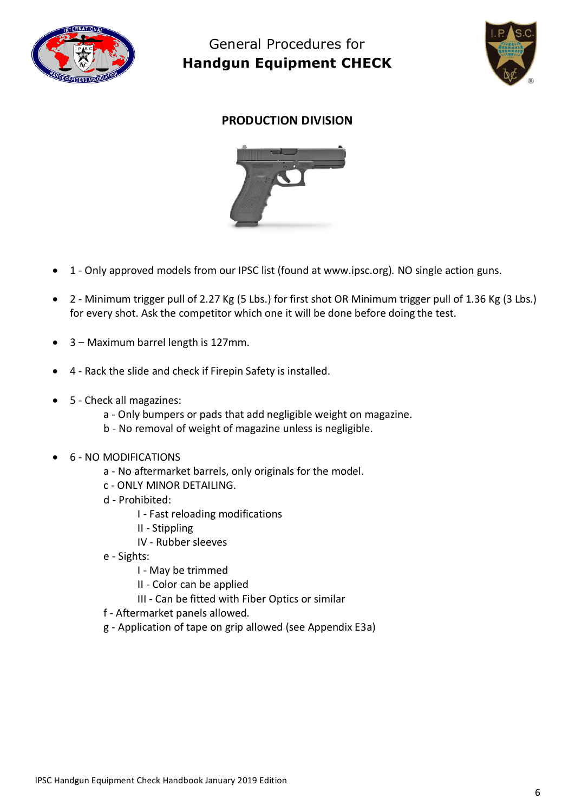



## **PRODUCTION DIVISION**



- 1 Only approved models from our IPSC list (found at www.ipsc.org). NO single action guns.
- 2 Minimum trigger pull of 2.27 Kg (5 Lbs.) for first shot OR Minimum trigger pull of 1.36 Kg (3 Lbs.) for every shot. Ask the competitor which one it will be done before doing the test.
- 3 Maximum barrel length is 127mm.
- 4 Rack the slide and check if Firepin Safety is installed.
- 5 Check all magazines:
	- a Only bumpers or pads that add negligible weight on magazine.
	- b No removal of weight of magazine unless is negligible.
- 6 NO MODIFICATIONS
	- a No aftermarket barrels, only originals for the model.
	- c ONLY MINOR DETAILING.
	- d Prohibited:
		- I Fast reloading modifications
		- II Stippling
		- IV Rubber sleeves
	- e Sights:
		- I May be trimmed
		- II Color can be applied
		- III Can be fitted with Fiber Optics or similar
	- f Aftermarket panels allowed.
	- g Application of tape on grip allowed (see Appendix E3a)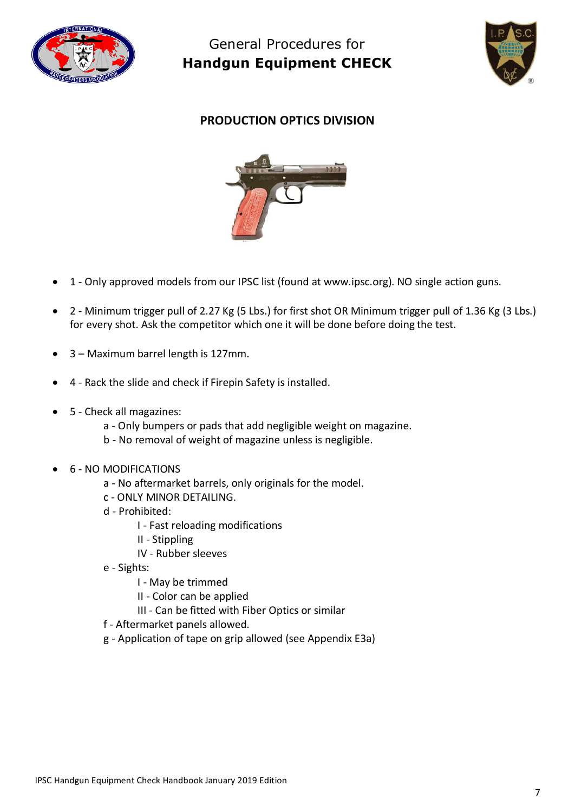



## **PRODUCTION OPTICS DIVISION**



- 1 Only approved models from our IPSC list (found at www.ipsc.org). NO single action guns.
- 2 Minimum trigger pull of 2.27 Kg (5 Lbs.) for first shot OR Minimum trigger pull of 1.36 Kg (3 Lbs.) for every shot. Ask the competitor which one it will be done before doing the test.
- 3 Maximum barrel length is 127mm.
- 4 Rack the slide and check if Firepin Safety is installed.
- 5 Check all magazines:
	- a Only bumpers or pads that add negligible weight on magazine.
	- b No removal of weight of magazine unless is negligible.
- 6 NO MODIFICATIONS
	- a No aftermarket barrels, only originals for the model.
	- c ONLY MINOR DETAILING.
	- d Prohibited:
		- I Fast reloading modifications
		- II Stippling
		- IV Rubber sleeves
	- e Sights:
		- I May be trimmed
		- II Color can be applied
		- III Can be fitted with Fiber Optics or similar
	- f Aftermarket panels allowed.
	- g Application of tape on grip allowed (see Appendix E3a)